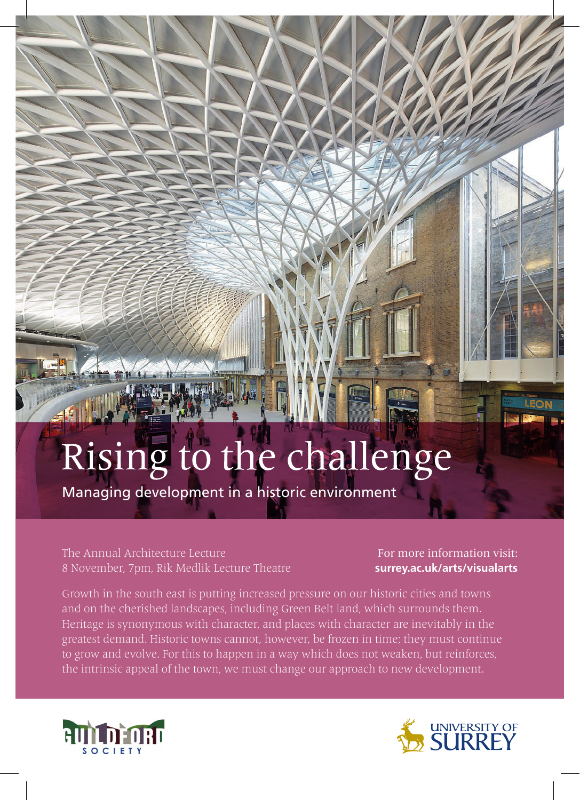## Rising to the challenge

Managing development in a historic environment

The Annual Architecture Lecture 8 November, 7pm, Rik Medlik Lecture Theatre

For more information visit: **surrey.ac.uk/arts/visualarts**

Heritage is synonymous with character, and places with character are inevitably in the greatest demand. Historic towns cannot, however, be frozen in time; they must continue to grow and evolve. For this to happen in a way which does not weaken, but reinforces, the intrinsic appeal of the town, we must change our approach to new development.